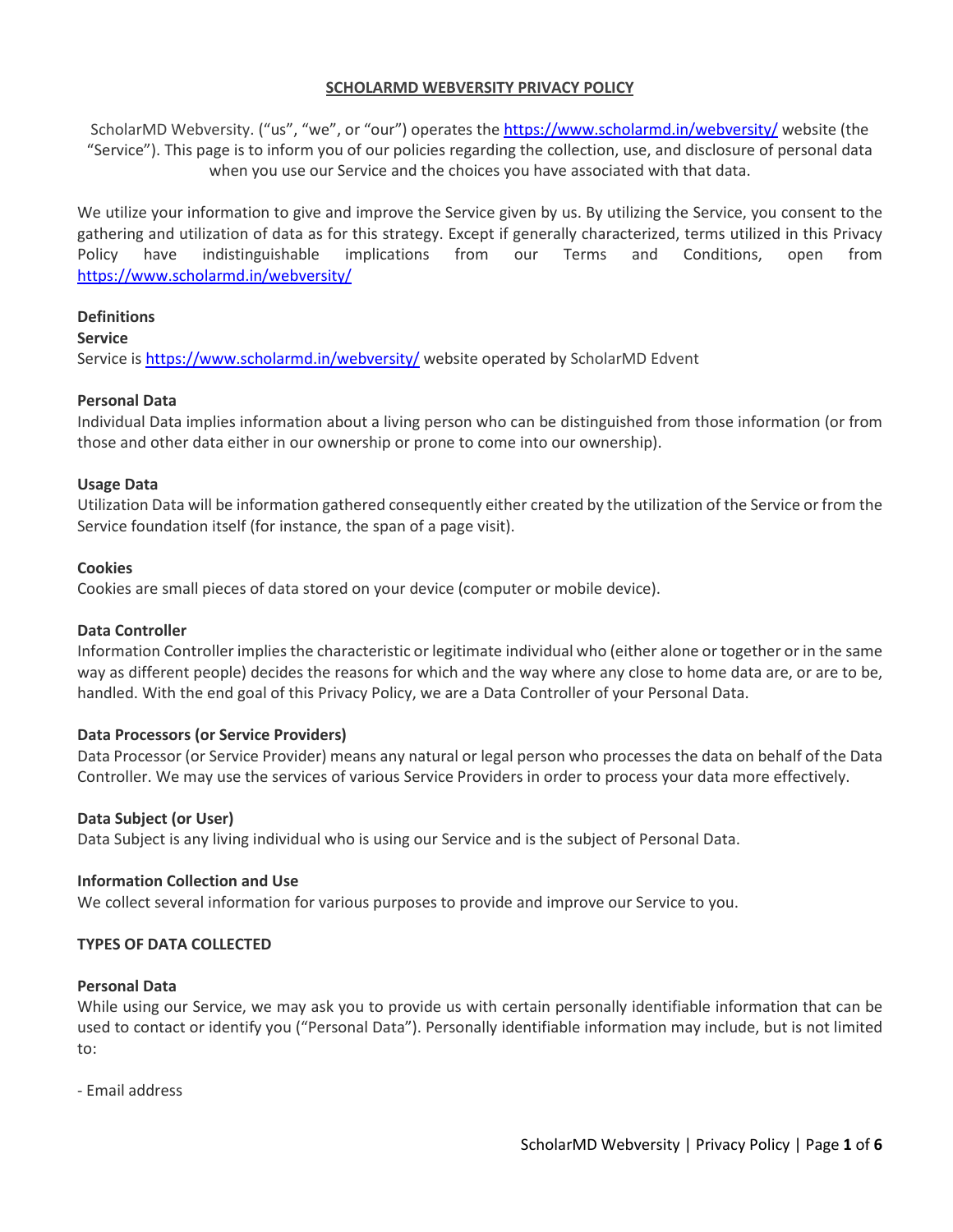# **SCHOLARMD WEBVERSITY PRIVACY POLICY**

ScholarMD Webversity. ("us", "we", or "our") operates the <https://www.scholarmd.in/webversity/> website (the "Service"). This page is to inform you of our policies regarding the collection, use, and disclosure of personal data when you use our Service and the choices you have associated with that data.

We utilize your information to give and improve the Service given by us. By utilizing the Service, you consent to the gathering and utilization of data as for this strategy. Except if generally characterized, terms utilized in this Privacy Policy have indistinguishable implications from our Terms and Conditions, open from <https://www.scholarmd.in/webversity/>

# **Definitions**

### **Service**

Service is <https://www.scholarmd.in/webversity/> website operated by ScholarMD Edvent

# **Personal Data**

Individual Data implies information about a living person who can be distinguished from those information (or from those and other data either in our ownership or prone to come into our ownership).

### **Usage Data**

Utilization Data will be information gathered consequently either created by the utilization of the Service or from the Service foundation itself (for instance, the span of a page visit).

### **Cookies**

Cookies are small pieces of data stored on your device (computer or mobile device).

### **Data Controller**

Information Controller implies the characteristic or legitimate individual who (either alone or together or in the same way as different people) decides the reasons for which and the way where any close to home data are, or are to be, handled. With the end goal of this Privacy Policy, we are a Data Controller of your Personal Data.

# **Data Processors (or Service Providers)**

Data Processor (or Service Provider) means any natural or legal person who processes the data on behalf of the Data Controller. We may use the services of various Service Providers in order to process your data more effectively.

### **Data Subject (or User)**

Data Subject is any living individual who is using our Service and is the subject of Personal Data.

### **Information Collection and Use**

We collect several information for various purposes to provide and improve our Service to you.

### **TYPES OF DATA COLLECTED**

### **Personal Data**

While using our Service, we may ask you to provide us with certain personally identifiable information that can be used to contact or identify you ("Personal Data"). Personally identifiable information may include, but is not limited to:

- Email address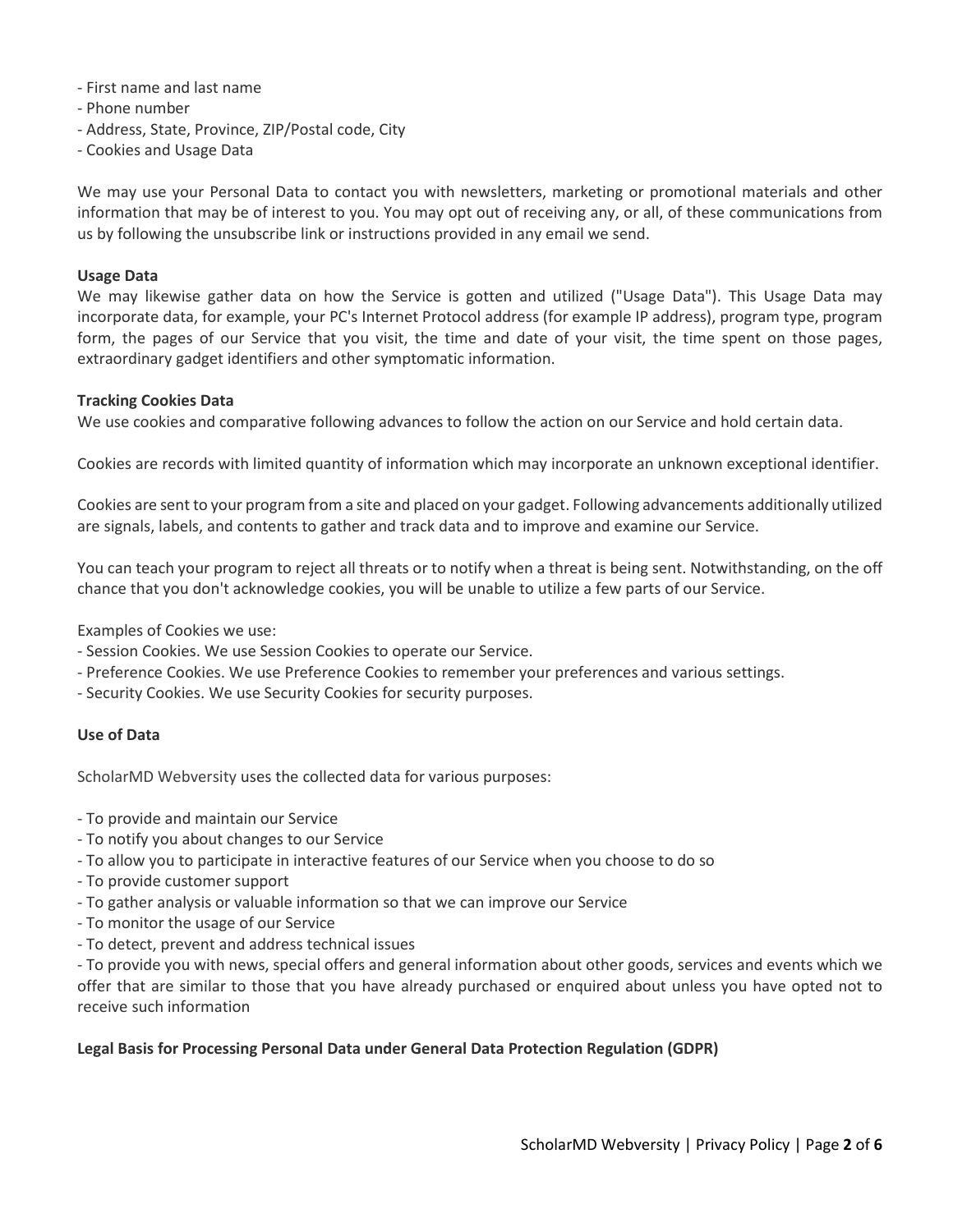- First name and last name
- Phone number
- Address, State, Province, ZIP/Postal code, City
- Cookies and Usage Data

We may use your Personal Data to contact you with newsletters, marketing or promotional materials and other information that may be of interest to you. You may opt out of receiving any, or all, of these communications from us by following the unsubscribe link or instructions provided in any email we send.

#### **Usage Data**

We may likewise gather data on how the Service is gotten and utilized ("Usage Data"). This Usage Data may incorporate data, for example, your PC's Internet Protocol address (for example IP address), program type, program form, the pages of our Service that you visit, the time and date of your visit, the time spent on those pages, extraordinary gadget identifiers and other symptomatic information.

#### **Tracking Cookies Data**

We use cookies and comparative following advances to follow the action on our Service and hold certain data.

Cookies are records with limited quantity of information which may incorporate an unknown exceptional identifier.

Cookies are sent to your program from a site and placed on your gadget. Following advancements additionally utilized are signals, labels, and contents to gather and track data and to improve and examine our Service.

You can teach your program to reject all threats or to notify when a threat is being sent. Notwithstanding, on the off chance that you don't acknowledge cookies, you will be unable to utilize a few parts of our Service.

Examples of Cookies we use:

- Session Cookies. We use Session Cookies to operate our Service.
- Preference Cookies. We use Preference Cookies to remember your preferences and various settings.
- Security Cookies. We use Security Cookies for security purposes.

### **Use of Data**

ScholarMD Webversity uses the collected data for various purposes:

- To provide and maintain our Service
- To notify you about changes to our Service
- To allow you to participate in interactive features of our Service when you choose to do so
- To provide customer support
- To gather analysis or valuable information so that we can improve our Service
- To monitor the usage of our Service
- To detect, prevent and address technical issues

- To provide you with news, special offers and general information about other goods, services and events which we offer that are similar to those that you have already purchased or enquired about unless you have opted not to receive such information

### **Legal Basis for Processing Personal Data under General Data Protection Regulation (GDPR)**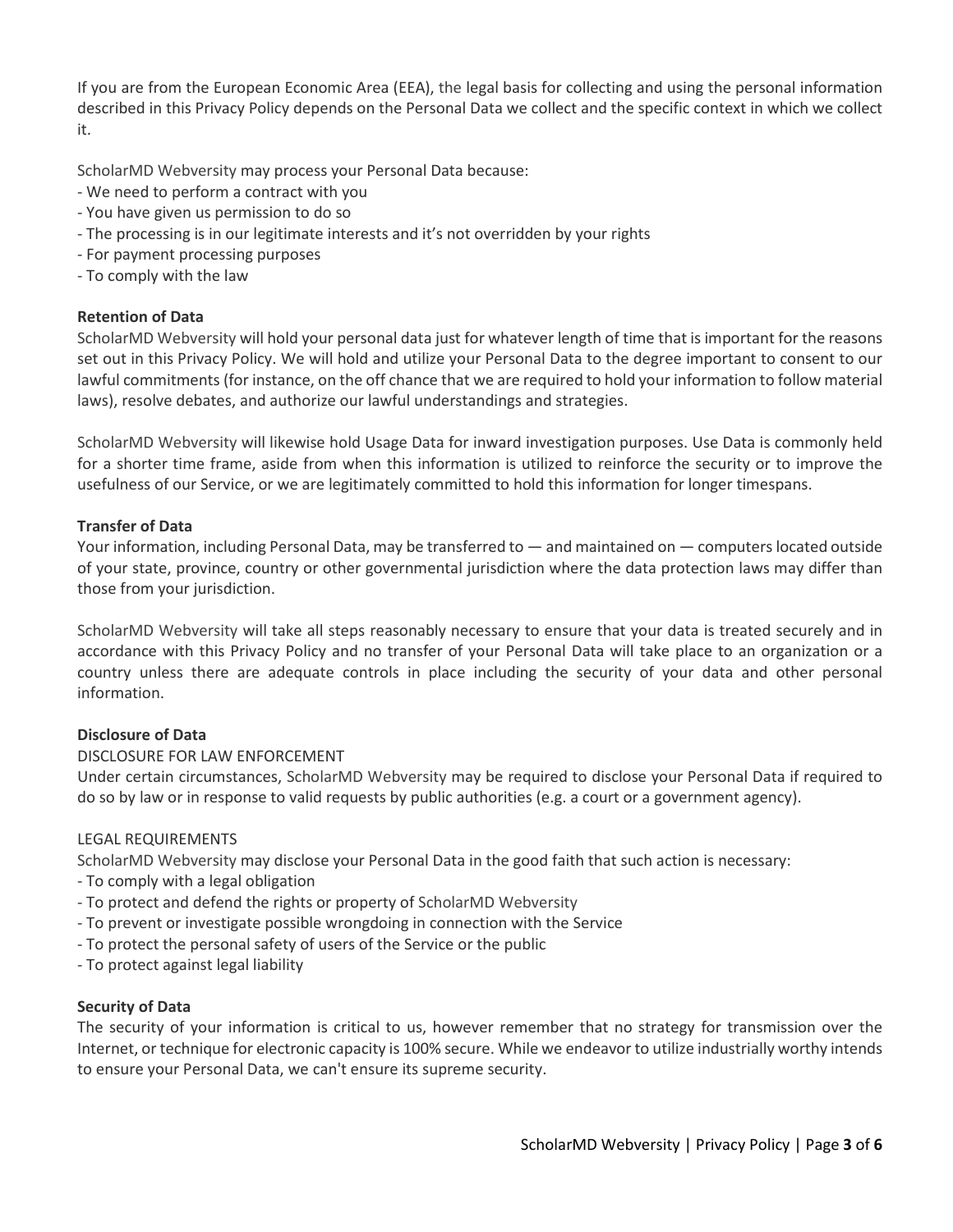If you are from the European Economic Area (EEA), the legal basis for collecting and using the personal information described in this Privacy Policy depends on the Personal Data we collect and the specific context in which we collect it.

ScholarMD Webversity may process your Personal Data because:

- We need to perform a contract with you
- You have given us permission to do so
- The processing is in our legitimate interests and it's not overridden by your rights
- For payment processing purposes
- To comply with the law

# **Retention of Data**

ScholarMD Webversity will hold your personal data just for whatever length of time that is important for the reasons set out in this Privacy Policy. We will hold and utilize your Personal Data to the degree important to consent to our lawful commitments (for instance, on the off chance that we are required to hold your information to follow material laws), resolve debates, and authorize our lawful understandings and strategies.

ScholarMD Webversity will likewise hold Usage Data for inward investigation purposes. Use Data is commonly held for a shorter time frame, aside from when this information is utilized to reinforce the security or to improve the usefulness of our Service, or we are legitimately committed to hold this information for longer timespans.

# **Transfer of Data**

Your information, including Personal Data, may be transferred to — and maintained on — computers located outside of your state, province, country or other governmental jurisdiction where the data protection laws may differ than those from your jurisdiction.

ScholarMD Webversity will take all steps reasonably necessary to ensure that your data is treated securely and in accordance with this Privacy Policy and no transfer of your Personal Data will take place to an organization or a country unless there are adequate controls in place including the security of your data and other personal information.

# **Disclosure of Data**

# DISCLOSURE FOR LAW ENFORCEMENT

Under certain circumstances, ScholarMD Webversity may be required to disclose your Personal Data if required to do so by law or in response to valid requests by public authorities (e.g. a court or a government agency).

# LEGAL REQUIREMENTS

ScholarMD Webversity may disclose your Personal Data in the good faith that such action is necessary:

- To comply with a legal obligation
- To protect and defend the rights or property of ScholarMD Webversity
- To prevent or investigate possible wrongdoing in connection with the Service
- To protect the personal safety of users of the Service or the public
- To protect against legal liability

# **Security of Data**

The security of your information is critical to us, however remember that no strategy for transmission over the Internet, or technique for electronic capacity is 100% secure. While we endeavor to utilize industrially worthy intends to ensure your Personal Data, we can't ensure its supreme security.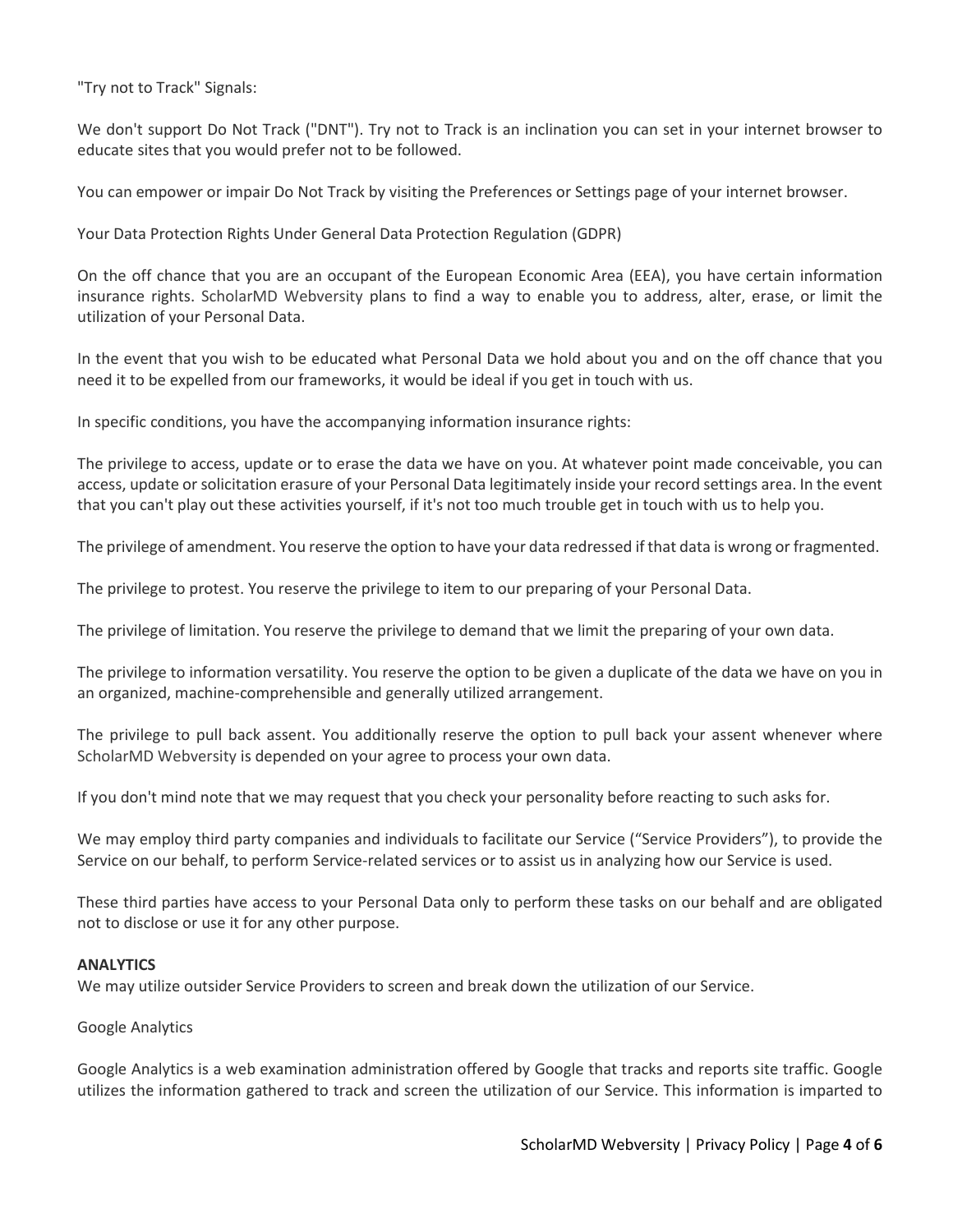"Try not to Track" Signals:

We don't support Do Not Track ("DNT"). Try not to Track is an inclination you can set in your internet browser to educate sites that you would prefer not to be followed.

You can empower or impair Do Not Track by visiting the Preferences or Settings page of your internet browser.

Your Data Protection Rights Under General Data Protection Regulation (GDPR)

On the off chance that you are an occupant of the European Economic Area (EEA), you have certain information insurance rights. ScholarMD Webversity plans to find a way to enable you to address, alter, erase, or limit the utilization of your Personal Data.

In the event that you wish to be educated what Personal Data we hold about you and on the off chance that you need it to be expelled from our frameworks, it would be ideal if you get in touch with us.

In specific conditions, you have the accompanying information insurance rights:

The privilege to access, update or to erase the data we have on you. At whatever point made conceivable, you can access, update or solicitation erasure of your Personal Data legitimately inside your record settings area. In the event that you can't play out these activities yourself, if it's not too much trouble get in touch with us to help you.

The privilege of amendment. You reserve the option to have your data redressed if that data is wrong or fragmented.

The privilege to protest. You reserve the privilege to item to our preparing of your Personal Data.

The privilege of limitation. You reserve the privilege to demand that we limit the preparing of your own data.

The privilege to information versatility. You reserve the option to be given a duplicate of the data we have on you in an organized, machine-comprehensible and generally utilized arrangement.

The privilege to pull back assent. You additionally reserve the option to pull back your assent whenever where ScholarMD Webversity is depended on your agree to process your own data.

If you don't mind note that we may request that you check your personality before reacting to such asks for.

We may employ third party companies and individuals to facilitate our Service ("Service Providers"), to provide the Service on our behalf, to perform Service-related services or to assist us in analyzing how our Service is used.

These third parties have access to your Personal Data only to perform these tasks on our behalf and are obligated not to disclose or use it for any other purpose.

### **ANALYTICS**

We may utilize outsider Service Providers to screen and break down the utilization of our Service.

### Google Analytics

Google Analytics is a web examination administration offered by Google that tracks and reports site traffic. Google utilizes the information gathered to track and screen the utilization of our Service. This information is imparted to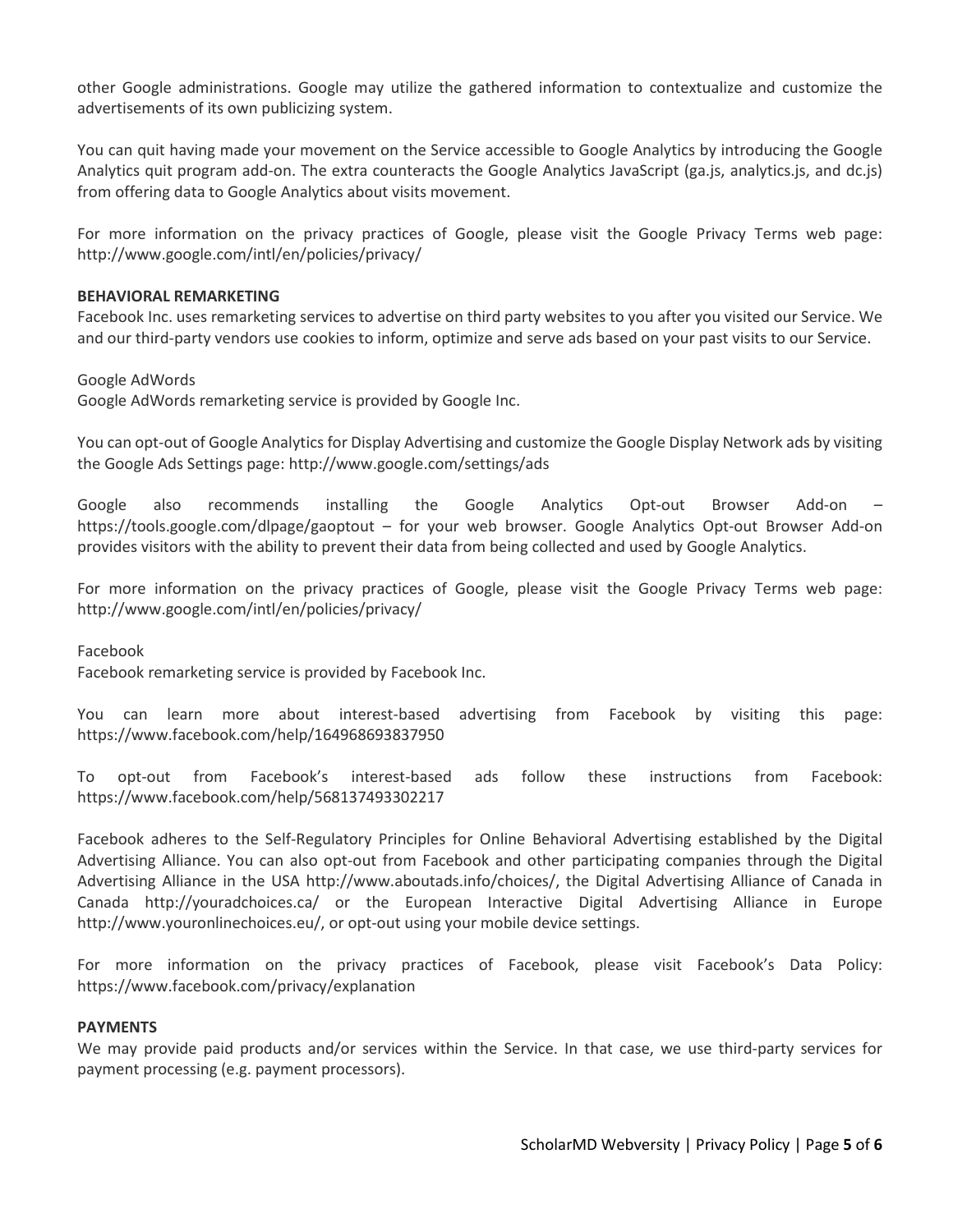other Google administrations. Google may utilize the gathered information to contextualize and customize the advertisements of its own publicizing system.

You can quit having made your movement on the Service accessible to Google Analytics by introducing the Google Analytics quit program add-on. The extra counteracts the Google Analytics JavaScript (ga.js, analytics.js, and dc.js) from offering data to Google Analytics about visits movement.

For more information on the privacy practices of Google, please visit the Google Privacy Terms web page: http://www.google.com/intl/en/policies/privacy/

### **BEHAVIORAL REMARKETING**

Facebook Inc. uses remarketing services to advertise on third party websites to you after you visited our Service. We and our third-party vendors use cookies to inform, optimize and serve ads based on your past visits to our Service.

Google AdWords

Google AdWords remarketing service is provided by Google Inc.

You can opt-out of Google Analytics for Display Advertising and customize the Google Display Network ads by visiting the Google Ads Settings page: http://www.google.com/settings/ads

Google also recommends installing the Google Analytics Opt-out Browser Add-on – https://tools.google.com/dlpage/gaoptout – for your web browser. Google Analytics Opt-out Browser Add-on provides visitors with the ability to prevent their data from being collected and used by Google Analytics.

For more information on the privacy practices of Google, please visit the Google Privacy Terms web page: http://www.google.com/intl/en/policies/privacy/

Facebook

Facebook remarketing service is provided by Facebook Inc.

You can learn more about interest-based advertising from Facebook by visiting this page: https://www.facebook.com/help/164968693837950

To opt-out from Facebook's interest-based ads follow these instructions from Facebook: https://www.facebook.com/help/568137493302217

Facebook adheres to the Self-Regulatory Principles for Online Behavioral Advertising established by the Digital Advertising Alliance. You can also opt-out from Facebook and other participating companies through the Digital Advertising Alliance in the USA http://www.aboutads.info/choices/, the Digital Advertising Alliance of Canada in Canada http://youradchoices.ca/ or the European Interactive Digital Advertising Alliance in Europe http://www.youronlinechoices.eu/, or opt-out using your mobile device settings.

For more information on the privacy practices of Facebook, please visit Facebook's Data Policy: https://www.facebook.com/privacy/explanation

### **PAYMENTS**

We may provide paid products and/or services within the Service. In that case, we use third-party services for payment processing (e.g. payment processors).